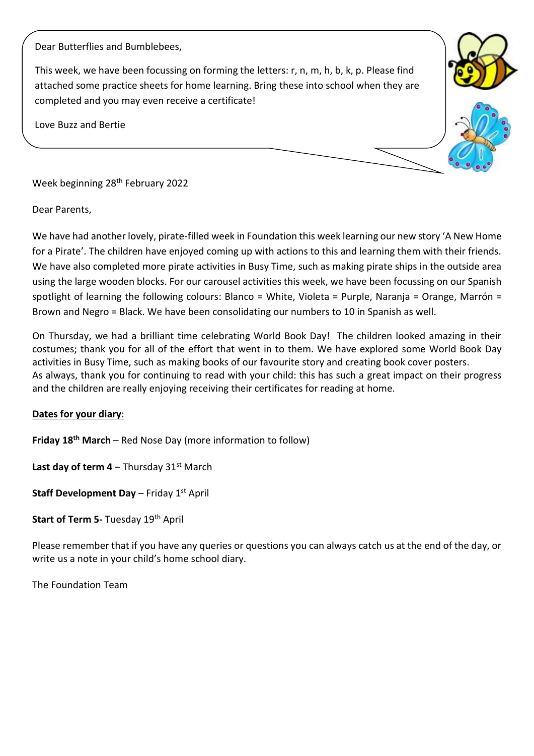Dear Butterflies and Bumblebees,

This week, we have been focussing on forming the letters: r, n, m, h, b, k, p. Please find attached some practice sheets for home learning. Bring these into school when they are completed and you may even receive a certificate!

Love Buzz and Bertie



Week beginning 28th February 2022

Dear Parents,

We have had another lovely, pirate-filled week in Foundation this week learning our new story 'A New Home for a Pirate'. The children have enjoyed coming up with actions to this and learning them with their friends. We have also completed more pirate activities in Busy Time, such as making pirate ships in the outside area using the large wooden blocks. For our carousel activities this week, we have been focussing on our Spanish spotlight of learning the following colours: Blanco = White, Violeta = Purple, Naranja = Orange, Marrón = Brown and Negro = Black. We have been consolidating our numbers to 10 in Spanish as well.

On Thursday, we had a brilliant time celebrating World Book Day! The children looked amazing in their costumes; thank you for all of the effort that went in to them. We have explored some World Book Day activities in Busy Time, such as making books of our favourite story and creating book cover posters. As always, thank you for continuing to read with your child: this has such a great impact on their progress and the children are really enjoying receiving their certificates for reading at home.

## **Dates for your diary**:

**Friday 18th March** – Red Nose Day (more information to follow)

**Last day of term 4** – Thursday  $31^{st}$  March

**Staff Development Day** – Friday 1st April

**Start of Term 5- Tuesday 19th April** 

Please remember that if you have any queries or questions you can always catch us at the end of the day, or write us a note in your child's home school diary.

The Foundation Team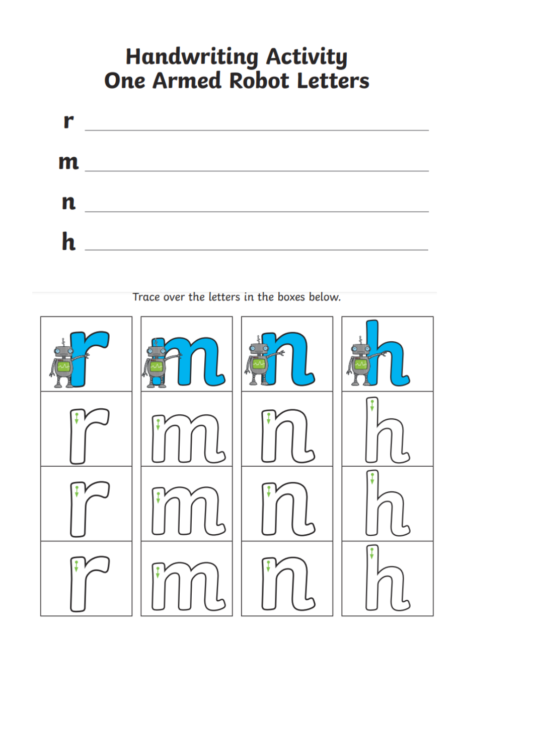## **Handwriting Activity One Armed Robot Letters**



Trace over the letters in the boxes below.